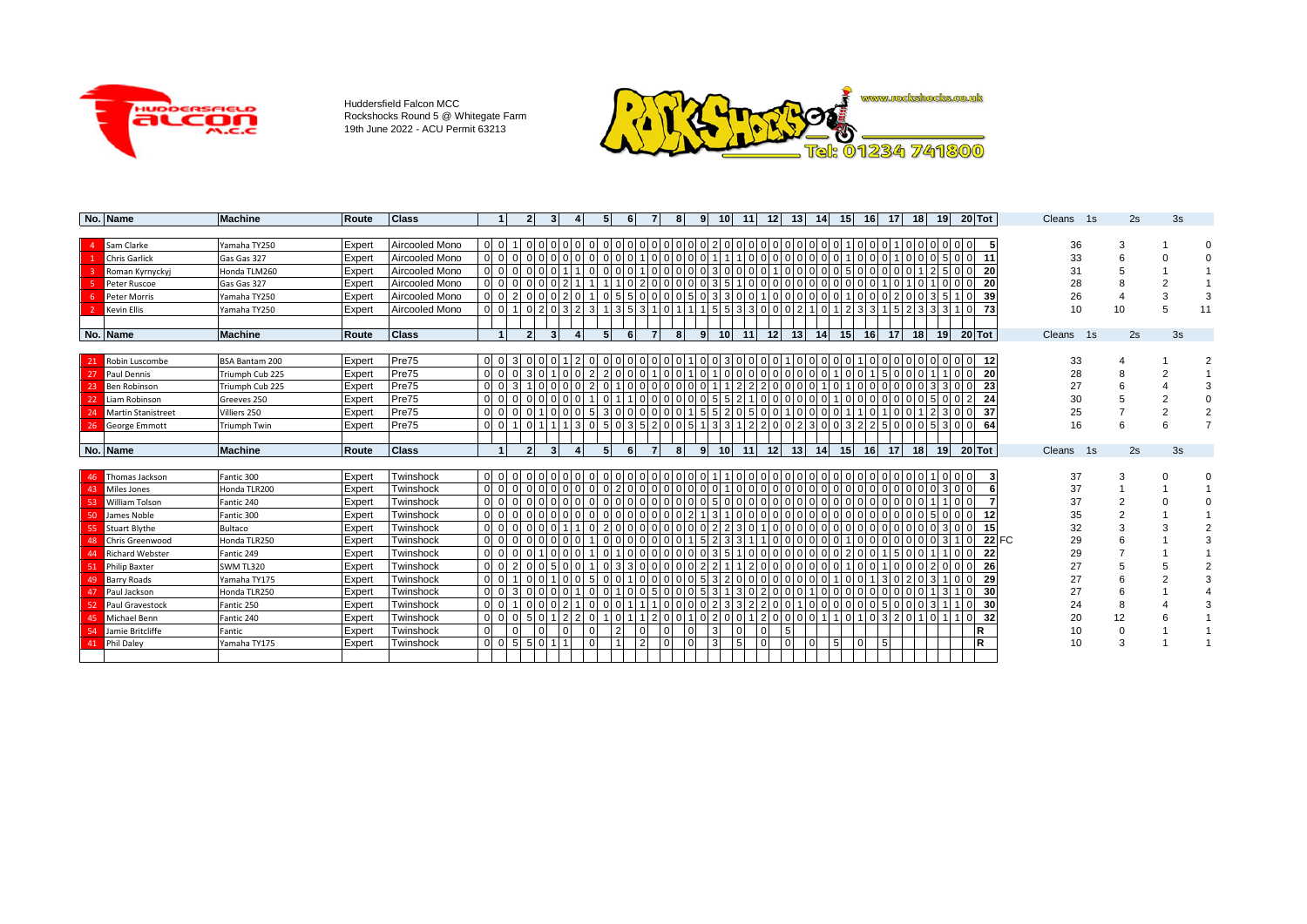

Huddersfield Falcon MCC Rockshocks Round 5 @ Whitegate Farm 19th June 2022 - ACU Permit 63213



|     | No. Name                  | <b>Machine</b>      | Route  | <b>Class</b>   |                |                |              |  | 6 | 8 | 9              | 10 <sup>1</sup> | 11 | 12 |          | 13 <sup>1</sup> | 14 | 15 <sup>1</sup> |          | 16              | 17              | <b>18</b> | 19 <sup>1</sup> | $20$ Tot |              | Cleans | 1s | 2s | 3s |    |
|-----|---------------------------|---------------------|--------|----------------|----------------|----------------|--------------|--|---|---|----------------|-----------------|----|----|----------|-----------------|----|-----------------|----------|-----------------|-----------------|-----------|-----------------|----------|--------------|--------|----|----|----|----|
|     |                           |                     |        |                |                |                |              |  |   |   |                |                 |    |    |          |                 |    |                 |          |                 |                 |           |                 |          |              |        |    |    |    |    |
|     | Sam Clarke                | Yamaha TY250        | Expert | Aircooled Mono | 0 <sub>0</sub> |                |              |  |   |   |                |                 |    |    |          |                 |    |                 |          |                 |                 |           |                 |          |              |        | 36 |    |    |    |
|     | <b>Chris Garlick</b>      | Gas Gas 327         | Expert | Aircooled Mono | 0 <sub>0</sub> |                |              |  |   |   |                |                 |    |    |          |                 |    |                 |          |                 |                 |           |                 | 11       |              |        | 33 |    |    |    |
|     | Roman Kyrnyckyj           | Honda TLM260        | Expert | Aircooled Mono | 0 <sub>0</sub> |                |              |  |   |   |                |                 |    |    |          |                 |    |                 |          |                 |                 |           |                 | 20       |              |        | 31 |    |    |    |
|     | Peter Ruscoe              | Gas Gas 327         | Expert | Aircooled Mono |                |                |              |  |   |   |                |                 |    |    |          |                 |    |                 |          |                 |                 |           |                 | 20       |              |        | 28 |    |    |    |
|     | <b>Peter Morris</b>       | Yamaha TY250        | Expert | Aircooled Mono |                |                |              |  |   |   |                |                 |    |    |          |                 |    |                 |          |                 |                 |           |                 | 39       |              |        | 26 |    |    |    |
|     | <b>Kevin Ellis</b>        | Yamaha TY250        | Expert | Aircooled Mono |                |                |              |  |   |   |                |                 |    |    |          |                 |    |                 |          |                 |                 |           |                 | 73       |              |        | 10 | 10 |    | 11 |
|     |                           |                     |        |                |                |                |              |  |   |   |                |                 |    |    |          |                 |    |                 |          |                 |                 |           |                 |          |              |        |    |    |    |    |
|     | No. Name                  | <b>Machine</b>      | Route  | <b>Class</b>   |                | $\mathcal{P}$  | $\mathbf{R}$ |  |   | 8 | ۹              | 10 <sup>1</sup> | 11 | 12 |          | 13 <sup>1</sup> | 14 | 15 <sup>1</sup> |          | 16 <sup>1</sup> | 17 <sup>1</sup> | 18 I      | 19 <sup>1</sup> | $20$ Tot |              | Cleans | 1s | 2s | 3s |    |
|     |                           |                     |        |                |                |                |              |  |   |   |                |                 |    |    |          |                 |    |                 |          |                 |                 |           |                 |          |              |        |    |    |    |    |
| 21  | Robin Luscombe            | BSA Bantam 200      | Expert | Pre75          | 0 <sub>0</sub> | -3             |              |  |   |   |                | 0.31            |    |    |          |                 |    |                 |          |                 |                 |           |                 | -12      |              |        | 33 |    |    |    |
| -27 | Paul Dennis               | Triumph Cub 225     | Expert | Pre75          | 0 <sub>0</sub> |                |              |  |   |   |                |                 |    |    |          |                 |    |                 |          |                 |                 |           |                 | 20       |              |        | 28 |    |    |    |
| 23  | <b>Ben Robinson</b>       | Triumph Cub 225     | Expert | Pre75          |                |                |              |  |   |   |                |                 |    |    |          |                 |    |                 |          |                 |                 |           |                 | 23       |              |        | 27 |    |    |    |
| 22  | Liam Robinson             | Greeves 250         | Expert | Pre75          | 0 <sub>0</sub> |                |              |  |   |   |                |                 |    |    |          |                 |    |                 |          |                 |                 |           |                 | 24       |              |        | 30 |    |    |    |
| 24  | <b>Martin Stanistreet</b> | Villiers 250        | Expert | Pre75          | $\Omega$       |                |              |  |   |   |                |                 |    |    |          |                 |    |                 |          |                 |                 |           |                 | 37       |              |        | 25 |    |    |    |
| 26  | <b>George Emmott</b>      | <b>Triumph Twin</b> | Expert | Pre75          | $0\sqrt{0}$    |                |              |  |   |   |                |                 |    |    |          |                 |    |                 |          |                 |                 |           |                 | 64       |              |        | 16 | 6  |    |    |
|     |                           |                     |        |                |                |                |              |  |   |   |                |                 |    |    |          |                 |    |                 |          |                 |                 |           |                 |          |              |        |    |    |    |    |
|     | No. Name                  | <b>Machine</b>      | Route  | <b>Class</b>   |                | $\overline{2}$ | 3            |  |   | 8 | 9 <sub>l</sub> | 10 <sup>1</sup> | 11 | 12 |          | 13 <sup>1</sup> | 14 | 15 <sup>1</sup> |          | 16              | 17              | 18        | 19              | $20$ Tot |              | Cleans | 1s | 2s | 3s |    |
|     |                           |                     |        |                |                |                |              |  |   |   |                |                 |    |    |          |                 |    |                 |          |                 |                 |           |                 |          |              |        |    |    |    |    |
| 46  | Thomas Jackson            | Fantic 300          | Expert | Twinshock      | 0 <sub>0</sub> |                |              |  |   |   |                |                 |    |    |          |                 |    |                 |          |                 |                 |           |                 |          |              |        | 37 | 3  |    |    |
| 43  | Miles Jones               | Honda TLR200        | Expert | Twinshock      | 0 <sub>0</sub> |                |              |  |   |   |                |                 |    |    |          |                 |    |                 |          |                 |                 |           |                 |          |              |        | 37 |    |    |    |
| 53  | <b>William Tolson</b>     | Fantic 240          | Expert | Twinshock      | n n            |                |              |  |   |   |                |                 |    |    |          |                 |    |                 |          |                 |                 |           |                 |          |              |        | 37 |    |    |    |
| 50  | James Noble               | Fantic 300          | Expert | Twinshock      | 0 <sub>0</sub> |                |              |  |   |   |                |                 |    |    |          |                 |    |                 |          |                 |                 |           |                 | 12       |              |        | 35 |    |    |    |
| 55  | <b>Stuart Blythe</b>      | Bultaco             | Expert | Twinshock      | 0 <sub>0</sub> |                |              |  |   |   |                |                 |    |    |          |                 |    |                 |          |                 |                 |           |                 | 15       |              |        | 32 |    |    |    |
| 48  | Chris Greenwood           | Honda TLR250        | Expert | Twinshock      | $0\sqrt{0}$    |                |              |  |   |   |                |                 |    |    |          |                 |    |                 |          |                 |                 |           |                 |          | <b>22 FC</b> |        | 29 |    |    |    |
| 44  | <b>Richard Webster</b>    | Fantic 249          | Expert | Twinshock      | 0 <sub>0</sub> |                |              |  |   |   |                |                 |    |    |          |                 |    |                 |          |                 |                 |           |                 | 22       |              |        | 29 |    |    |    |
| 51  | <b>Philip Baxter</b>      | SWM TL320           | Expert | Twinshock      | 0 <sub>0</sub> |                |              |  |   |   |                |                 |    |    |          |                 |    |                 |          |                 |                 |           |                 | 26       |              |        | 27 |    |    |    |
| 49  | <b>Barry Roads</b>        | Yamaha TY175        | Expert | Twinshock      | $\Omega$       |                |              |  |   |   |                |                 |    |    |          |                 |    |                 |          |                 |                 |           |                 | 29       |              |        | 27 |    |    |    |
| 47  | Paul Jackson              | Honda TLR250        | Expert | Twinshock      | n n            |                |              |  |   |   |                |                 |    |    |          |                 |    |                 |          |                 |                 |           |                 | 30       |              |        | 27 | 6  |    |    |
| 52  | Paul Gravestock           | Fantic 250          | Expert | Twinshock      | n n            |                |              |  |   |   |                |                 |    |    |          |                 |    |                 |          |                 |                 |           |                 | 30       |              |        | 24 | 8  |    |    |
| 45  | <b>Michael Benn</b>       | Fantic 240          | Expert | Twinshock      | 0 <sub>0</sub> |                |              |  |   |   |                |                 |    |    |          | 0               |    |                 |          |                 |                 |           |                 | -32      |              |        | 20 | 12 |    |    |
|     | Jamie Britcliffe          | Fantic              | Expert | Twinshock      | $\overline{0}$ | ∩              |              |  |   |   |                |                 |    |    | 5        |                 |    |                 |          |                 |                 |           |                 | R        |              |        | 10 | 0  |    |    |
| 41  | <b>Phil Daley</b>         | Yamaha TY175        | Expert | Twinshock      | 0 <sub>0</sub> | -5             | 50           |  |   |   |                |                 |    |    | $\Omega$ | $\mathbf 0$     |    |                 | $\Omega$ |                 |                 |           |                 | R        |              |        | 10 | 3  |    |    |
|     |                           |                     |        |                |                |                |              |  |   |   |                |                 |    |    |          |                 |    |                 |          |                 |                 |           |                 |          |              |        |    |    |    |    |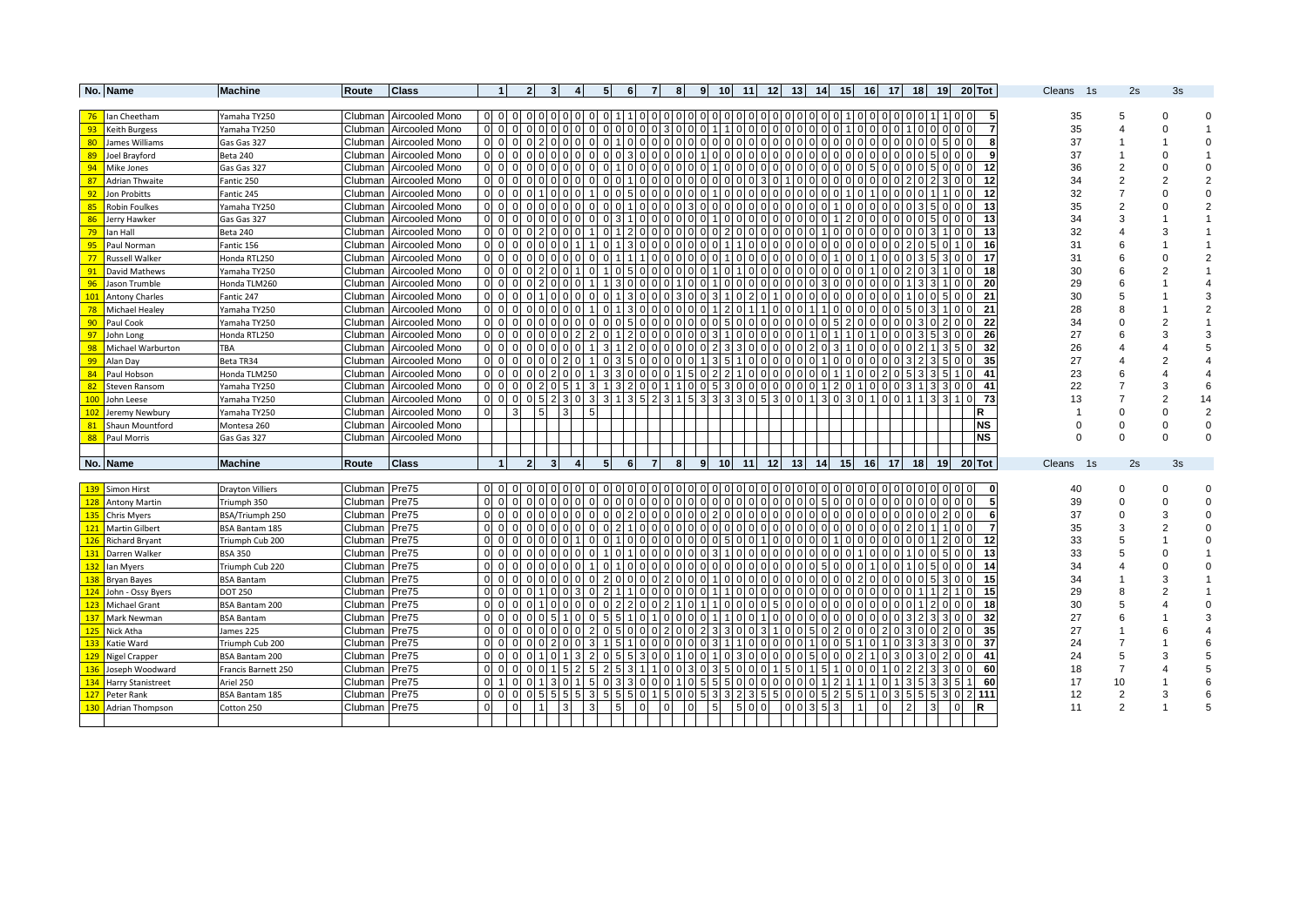|            | No. Name               | <b>Machine</b>          | Route              | <b>Class</b>           |                                  |                       | 2              | 31                               |                |              | 5               | 61 | -7             | 8 |          | 9 | 10 <sup>1</sup> |                            | 11 12           | 13 <sup>1</sup> | 14                |          | 15            | 16 17 18       |                 |                |                 |                 |                | 19 20 Tot       |  | Cleans 1s | 2s                  | 3s                 |    |
|------------|------------------------|-------------------------|--------------------|------------------------|----------------------------------|-----------------------|----------------|----------------------------------|----------------|--------------|-----------------|----|----------------|---|----------|---|-----------------|----------------------------|-----------------|-----------------|-------------------|----------|---------------|----------------|-----------------|----------------|-----------------|-----------------|----------------|-----------------|--|-----------|---------------------|--------------------|----|
|            |                        |                         |                    |                        |                                  |                       |                |                                  |                |              |                 |    |                |   |          |   |                 |                            |                 |                 |                   |          |               |                |                 |                |                 |                 |                |                 |  |           |                     |                    |    |
|            | 76 Ian Cheetham        | Yamaha TY250            |                    | Clubman Aircooled Mono |                                  | $00$ $01$ $01$        |                | 0 O                              |                |              |                 |    |                |   |          |   |                 |                            |                 |                 |                   |          |               | 10000000       |                 |                |                 |                 |                | 5               |  | 35        | 5                   |                    |    |
| 93         | <b>Keith Burgess</b>   | Yamaha TY250            | Clubman            | Aircooled Mono         | 0 <sub>0</sub>                   |                       |                |                                  |                |              |                 |    |                |   |          |   |                 |                            |                 |                 |                   |          |               |                |                 |                |                 |                 |                |                 |  | 35        |                     |                    |    |
| 80         | James Williams         | Gas Gas 327             | Clubman            | Aircooled Mono         | $00$ 0                           |                       |                |                                  |                |              |                 |    |                |   |          |   |                 | $00$ 0                     |                 |                 | 0 0 0 0           |          |               | alalalalalala  |                 |                |                 |                 | 0151010        | 8               |  | 37        |                     |                    |    |
| 89         | Joel Brayford          | Beta 240                | Clubman            | Aircooled Mono         | 0 <sub>0</sub>                   | $\Omega$              | $\Omega$       |                                  |                |              |                 |    |                |   |          |   |                 |                            |                 |                 | 0 <sub>0</sub>    |          |               |                |                 |                |                 |                 |                | 9               |  | 37        |                     |                    |    |
| 94         | Mike Jones             | Gas Gas 327             | Clubman            | Aircooled Mono         | $00$ $00$                        |                       |                |                                  |                |              |                 |    |                |   |          |   |                 |                            |                 |                 |                   |          |               |                |                 |                |                 |                 |                | 12              |  | 36        | $\overline{2}$      |                    |    |
| 87         | <b>Adrian Thwaite</b>  | Fantic 250              | Clubman            | Aircooled Mono         | 0 <sub>0</sub>                   | $\Omega$              |                |                                  |                |              |                 |    |                |   |          |   |                 |                            |                 |                 |                   |          |               |                |                 |                |                 |                 |                | 12              |  | 34        | 2                   |                    |    |
| 92         | Jon Probitts           | Fantic 245              | Clubman            | Aircooled Mono         | $00$ 0                           |                       |                |                                  |                |              |                 |    |                |   |          |   |                 |                            |                 |                 | 0 <sub>0</sub>    |          |               |                |                 |                |                 |                 |                | 12              |  | 32        | $\overline{7}$      |                    |    |
| 85         | Robin Foulkes          | Yamaha TY250            | Clubman            | Aircooled Mono         | $00$ 0                           |                       | $\Omega$       | 0 I                              |                |              |                 |    |                |   |          |   |                 |                            |                 |                 |                   |          | $\Omega$      |                |                 |                |                 |                 | 0 <sub>0</sub> | 13              |  | 35        | 2                   |                    |    |
| 86         | Jerry Hawker           | Gas Gas 327             | Clubman            | Aircooled Mono         | $0$ 0 $0$                        |                       |                |                                  |                |              |                 |    |                |   |          |   |                 |                            |                 |                 |                   |          |               |                |                 |                |                 |                 |                | 13              |  | 34        | 3                   |                    |    |
| 79         | lan Hall               | Beta 240                | Clubman            | Aircooled Mono         |                                  | 0 0 0 0               |                |                                  |                |              |                 |    |                |   |          |   |                 | 0 I O                      |                 |                 |                   | 010      |               | 0000           |                 |                |                 |                 | 0 <sub>0</sub> | 13              |  | 32        |                     |                    |    |
| 95         | Paul Norman            | Fantic 156              | Clubman            | Aircooled Mono         | 0 <sub>0</sub>                   |                       |                |                                  |                |              |                 |    |                |   |          |   |                 |                            |                 |                 |                   |          |               |                |                 |                |                 |                 |                | 16              |  | 31        | 6                   |                    |    |
| 77         | <b>Russell Walker</b>  | Honda RTL250            | Clubman            | Aircooled Mono         | $00$ 0                           |                       |                |                                  |                |              |                 |    |                |   |          |   |                 |                            |                 |                 |                   |          |               |                |                 |                |                 |                 |                | 17              |  | 31        | 6                   |                    |    |
| 91         | David Mathews          | Yamaha TY250            | Clubman            | Aircooled Mono         | 0 <sub>0</sub>                   |                       |                |                                  |                |              |                 |    |                |   |          |   |                 |                            |                 |                 |                   |          |               |                |                 |                |                 |                 |                | 18              |  | 30        | 6                   |                    |    |
| 96         | Jason Trumble          | Honda TLM260            | Clubman            | Aircooled Mono         | $00$ 0                           |                       |                |                                  |                |              |                 |    |                |   |          |   |                 |                            |                 |                 |                   |          |               |                |                 |                |                 |                 |                | 20              |  | 29        | 6                   |                    |    |
|            | 101 Antony Charles     | Fantic 247              | Clubman            | Aircooled Mono         | 0 <sub>0</sub>                   |                       |                |                                  |                |              |                 |    |                |   |          |   |                 |                            |                 |                 |                   |          |               |                |                 |                |                 |                 |                | 21              |  | 30        | 5                   |                    |    |
| 78         | Michael Healey         | Yamaha TY250            | Clubman            | Aircooled Mono         | $00$ 0                           |                       |                |                                  |                |              |                 |    |                |   |          |   |                 |                            |                 |                 |                   |          |               |                |                 |                |                 |                 |                | 21              |  | 28        | 8                   |                    |    |
| 90         | Paul Cook              | Yamaha TY250            | Clubman            | Aircooled Mono         | $00$ 0                           |                       |                |                                  |                |              |                 |    |                |   |          |   |                 |                            |                 |                 |                   |          | $\mathcal{P}$ |                |                 |                |                 |                 |                | 22              |  | 34        | $\Omega$            | $\overline{2}$     |    |
| 97         | John Long              | Honda RTL250            | Clubman            | Aircooled Mono         | $00$ 0                           |                       |                |                                  |                |              |                 |    |                |   |          |   |                 |                            |                 |                 |                   |          |               |                |                 |                |                 |                 |                | 26              |  | 27        |                     | 3                  |    |
| 98         | Michael Warburton      | TBA                     | Clubman            | Aircooled Mono         | $0\quad0\quad0$                  |                       |                |                                  |                |              |                 |    |                |   |          |   |                 | 0 O                        |                 |                 |                   |          |               | 1000           |                 |                |                 |                 |                | 32              |  | 26        |                     |                    |    |
| 99         | Alan Day               | Beta TR34               | Clubman            | Aircooled Mono         | $00$ 0                           |                       |                |                                  |                |              |                 |    |                |   |          |   |                 |                            |                 |                 |                   |          |               |                |                 |                |                 |                 |                | 35              |  | 27        |                     | $\overline{2}$     |    |
| 84         | Paul Hobson            | Honda TLM250            | Clubman            | Aircooled Mono         | $0\quad0\quad0$                  |                       |                |                                  |                |              |                 |    |                |   |          |   |                 | 0 <sub>0</sub>             |                 |                 | 0 <sub>0</sub>    |          |               |                |                 |                |                 |                 |                | 41              |  | 23        | 6                   |                    |    |
| 82         | <b>Steven Ransom</b>   | Yamaha TY250            | Clubman            | Aircooled Mono         | $00$ 0                           |                       |                |                                  |                |              |                 |    |                |   |          |   |                 |                            |                 |                 |                   |          |               |                |                 |                |                 |                 |                | 41              |  | 22        |                     | 3                  | 6  |
| 100        | John Leese             | Yamaha TY250            | Clubman            | Aircooled Mono         |                                  | $00$ 0                | $\Omega$       |                                  | 30             |              |                 |    |                |   |          |   |                 |                            |                 |                 |                   |          |               |                |                 |                |                 |                 | $\Omega$       | - 73            |  | 13        | 7                   | 2                  | 14 |
| 102        | Jeremy Newbury         | Yamaha TY250            | Clubman            | Aircooled Mono         | $\Omega$                         | 3                     |                |                                  | $\overline{3}$ |              |                 |    |                |   |          |   |                 |                            |                 |                 |                   |          |               |                |                 |                |                 |                 |                | R               |  |           | $\Omega$            |                    | 2  |
| 81         | Shaun Mountford        | Montesa 260             | Clubman            | Aircooled Mono         |                                  |                       |                |                                  |                |              |                 |    |                |   |          |   |                 |                            |                 |                 |                   |          |               |                |                 |                |                 |                 |                | <b>NS</b>       |  |           | $\Omega$            | $\Omega$           |    |
| 88         | Paul Morris            | Gas Gas 327             | Clubman            | Aircooled Mono         |                                  |                       |                |                                  |                |              |                 |    |                |   |          |   |                 |                            |                 |                 |                   |          |               |                |                 |                |                 |                 |                | <b>NS</b>       |  | $\Omega$  | $\Omega$            | $\Omega$           |    |
|            |                        |                         |                    |                        |                                  |                       |                |                                  |                |              |                 |    |                |   |          |   |                 |                            |                 |                 |                   |          |               |                |                 |                |                 |                 |                |                 |  |           |                     |                    |    |
|            | No. Name               | <b>Machine</b>          | Route              | <b>Class</b>           |                                  |                       | 2              | 3                                |                |              |                 | 6  | $\overline{7}$ |   |          | 9 | 10              | 11                         | 12 <sup>1</sup> | 13              | 14                |          | 15            | <b>16</b>      | 17 <sup>1</sup> |                | 18 <sup>1</sup> | 19 <sup>1</sup> |                | $20$ Tot        |  | Cleans 1s | 2s                  | 3s                 |    |
|            |                        |                         |                    |                        |                                  |                       |                |                                  |                |              |                 |    |                |   |          |   |                 |                            |                 |                 |                   |          |               |                |                 |                |                 |                 |                | $\Omega$        |  |           | U                   |                    |    |
|            | 139 Simon Hirst        | <b>Drayton Villiers</b> | Clubman            | Pre75                  | 0 <sub>0</sub><br>0 <sub>0</sub> |                       |                |                                  |                |              |                 |    |                |   |          |   |                 |                            |                 |                 |                   |          |               |                |                 |                |                 |                 | 0 <sup>1</sup> |                 |  | 40        | U                   |                    |    |
|            | 128 Antony Martin      | Triumph 350             | Clubman            | Pre75                  |                                  |                       |                |                                  |                |              |                 |    |                |   |          |   |                 | 0 I Q                      |                 |                 |                   |          |               | $00$ 0         |                 |                |                 |                 | 0 <sub>0</sub> |                 |  | 39        |                     |                    |    |
|            | <b>135</b> Chris Myers | BSA/Triumph 250         | Clubman            | Pre75                  |                                  | $0 0 0 0 0$           |                |                                  |                |              |                 |    |                |   |          |   |                 | 010                        |                 |                 | 0.0.0.0.0.0.0.0.0 |          |               |                |                 |                |                 |                 | 0 <sub>0</sub> | 6               |  | 37        | $\Omega$            | 3<br>$\mathcal{P}$ |    |
|            | 121 Martin Gilbert     | BSA Bantam 185          | Clubman            | Pre75                  | 0 <sub>0</sub>                   | $00$ $00$<br>$\Omega$ |                |                                  |                |              |                 |    |                |   |          |   |                 | 0 <sup>10</sup><br>ΩI      |                 |                 | $00$ $01$         | $\Omega$ |               | 0 <sub>0</sub> |                 |                |                 |                 |                | $\overline{7}$  |  | 35        | 3                   |                    |    |
|            | 126 Richard Bryant     | Triumph Cub 200         | Clubman            | Pre75                  | 0 <sub>0</sub>                   |                       |                |                                  |                |              |                 |    |                |   |          |   |                 |                            |                 |                 |                   |          |               |                |                 |                |                 |                 | 0 <sub>0</sub> | 12              |  | 33        | 5                   |                    |    |
|            | 131 Darren Walker      | <b>BSA 350</b>          | Clubman<br>Clubman | Pre75<br>Pre75         | 0 <sub>0</sub>                   | $\Omega$              |                |                                  |                |              |                 |    |                |   |          |   |                 | ΩL<br>ΩL                   |                 |                 |                   |          |               |                |                 |                |                 |                 |                | 13<br>14        |  | 33<br>34  |                     |                    |    |
|            | 132 lan Myers          | Triumph Cub 220         |                    |                        | 0 <sub>0</sub>                   |                       |                |                                  |                |              |                 |    |                |   |          |   |                 | 0 O                        |                 |                 |                   |          |               |                |                 |                |                 |                 |                |                 |  |           |                     |                    |    |
|            | 138 Bryan Bayes        | <b>BSA Bantam</b>       | Clubman            | Pre75                  | 0 <sub>0</sub>                   |                       |                |                                  |                |              |                 |    |                |   |          |   |                 |                            |                 |                 |                   |          |               |                |                 |                |                 |                 |                | 15              |  | 34        |                     |                    |    |
|            | 124 John - Ossy Byers  | <b>DOT 250</b>          | Clubman            | Pre75                  | 0 <sub>0</sub>                   | $\Omega$              |                |                                  |                |              |                 |    |                |   |          |   |                 | ΩL                         |                 |                 |                   |          |               |                |                 |                |                 |                 |                | 15              |  | 29        |                     |                    |    |
|            | 123 Michael Grant      | BSA Bantam 200          | Clubman            | Pre75                  | 0 <sub>0</sub>                   |                       |                |                                  |                |              |                 |    |                |   |          |   |                 |                            |                 |                 |                   |          |               |                |                 |                |                 |                 |                | 18              |  | 30        |                     |                    |    |
| 137        | Mark Newman            | <b>BSA Bantam</b>       | Clubman            | Pre75                  |                                  |                       |                |                                  |                |              |                 |    |                |   |          |   |                 | $\Omega$                   |                 |                 |                   |          |               |                |                 |                |                 |                 |                | 32              |  | 27        | 6                   |                    |    |
| 125        | Nick Atha              | James 225               | Clubman            | Pre75                  | 0 <sub>0</sub><br>$00$ 0         |                       |                |                                  |                |              |                 |    |                |   |          |   |                 |                            |                 |                 |                   |          |               |                |                 |                |                 |                 |                | 35              |  | 27        | 7                   |                    |    |
| 133        | Katie Ward             | Triumph Cub 200         | Clubman            | Pre75                  |                                  |                       |                |                                  |                |              |                 |    |                |   |          |   |                 |                            |                 |                 |                   |          |               |                |                 |                |                 |                 |                | 37              |  | 24        |                     |                    |    |
|            | 129 Nigel Crapper      | BSA Bantam 200          | Clubman            | Pre75                  | 0 <sub>0</sub>                   |                       |                |                                  |                |              |                 |    |                |   |          |   |                 |                            |                 |                 |                   |          |               |                |                 |                |                 |                 |                | 41              |  | 24        | 5<br>$\overline{7}$ |                    |    |
| 136        | Joseph Woodward        | Francis Barnett 250     | Clubman            | Pre75                  | 0 <sub>0</sub><br>0 <sub>1</sub> |                       |                |                                  |                |              |                 |    |                |   |          |   |                 |                            |                 |                 |                   |          |               |                |                 |                |                 |                 |                | 60              |  | 18        |                     |                    |    |
| 134        | Harry Stanistreet      | Ariel 250               | Clubman            | Pre75                  |                                  | $00$ $00$             |                |                                  |                |              |                 |    |                |   |          |   |                 |                            |                 |                 |                   |          |               |                |                 |                |                 |                 |                | 60<br>$0$ 2 111 |  | 17        | 10                  |                    |    |
| 127<br>130 | Peter Rank             | BSA Bantam 185          | Clubman            | Pre75<br>Pre75         | $\Omega$                         | $\Omega$              | $\overline{1}$ | 5 <sub>1</sub><br>$\overline{3}$ |                | $\mathbf{3}$ | $5\phantom{.0}$ |    | $\Omega$       |   |          |   | 5               | $2 \mid 3 \mid 5$<br>5 0 0 |                 |                 |                   | 3        |               | $\Omega$       |                 | $\overline{2}$ |                 |                 |                | lR.             |  | 12<br>11  | 2<br>$\mathfrak{p}$ | 3                  |    |
|            | Adrian Thompson        | Cotton 250              | Clubman            |                        |                                  |                       |                |                                  |                |              |                 |    |                |   | $\Omega$ |   |                 |                            |                 |                 | $0 \ 0 \ 3 \ 5$   |          |               |                |                 |                |                 |                 |                |                 |  |           |                     |                    |    |